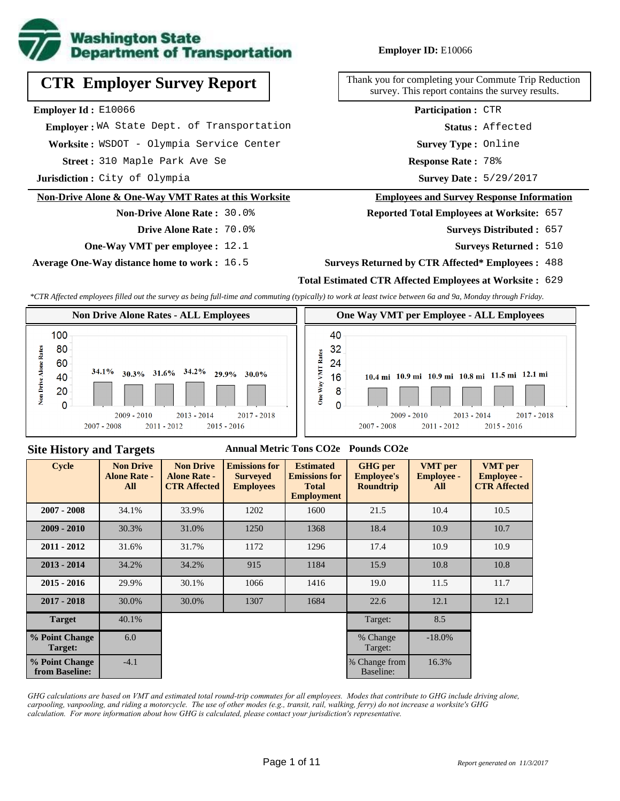

# **CTR Employer Survey Report**

**Employer Id :** E10066

 **Employer :** WA State Dept. of Transportation

Worksite: WSDOT - Olympia Service Center

310 Maple Park Ave Se **Response Rate : Street :**

**Jurisdiction :** City of Olympia

#### **Non-Drive Alone & One-Way VMT Rates at this Worksite**

#### **Non-Drive Alone Rate :** 30.0% **Drive Alone Rate :** 70.0%

- 
- **One-Way VMT per employee :** 12.1

**Average One-Way distance home to work :** 16.5

#### **Employer ID:** E10066

Thank you for completing your Commute Trip Reduction survey. This report contains the survey results.

> **Status :** Affected **Participation :** CTR

**Survey Type :** Online

Response Rate: 78%

Survey Date: 5/29/2017

#### **Employees and Survey Response Information**

**Reported Total Employees at Worksite:** 657

- Surveys Distributed: 657
	- **Surveys Returned :** 510

#### **Surveys Returned by CTR Affected\* Employees :** 488

#### **Total Estimated CTR Affected Employees at Worksite :** 629

*\*CTR Affected employees filled out the survey as being full-time and commuting (typically) to work at least twice between 6a and 9a, Monday through Friday.*



#### **Site History and Targets**

#### **Annual Metric Tons CO2e Pounds CO2e**

| <b>Cycle</b>                     | <b>Non Drive</b><br><b>Alone Rate -</b><br>All | <b>Non Drive</b><br><b>Alone Rate -</b><br><b>CTR Affected</b> | <b>Emissions for</b><br><b>Surveyed</b><br><b>Employees</b> | <b>Estimated</b><br><b>Emissions for</b><br><b>Total</b><br><b>Employment</b> | <b>GHG</b> per<br><b>Employee's</b><br><b>Roundtrip</b> | <b>VMT</b> per<br><b>Employee -</b><br>All | <b>VMT</b> per<br><b>Employee -</b><br><b>CTR Affected</b> |
|----------------------------------|------------------------------------------------|----------------------------------------------------------------|-------------------------------------------------------------|-------------------------------------------------------------------------------|---------------------------------------------------------|--------------------------------------------|------------------------------------------------------------|
| $2007 - 2008$                    | 34.1%                                          | 33.9%                                                          | 1202                                                        | 1600                                                                          | 21.5                                                    | 10.4                                       | 10.5                                                       |
| $2009 - 2010$                    | 30.3%                                          | 31.0%                                                          | 1250                                                        | 1368                                                                          | 18.4                                                    | 10.9                                       | 10.7                                                       |
| $2011 - 2012$                    | 31.6%                                          | 31.7%                                                          | 1172                                                        | 1296                                                                          | 17.4                                                    | 10.9                                       | 10.9                                                       |
| $2013 - 2014$                    | 34.2%                                          | 34.2%                                                          | 915                                                         | 1184                                                                          | 15.9                                                    | 10.8                                       | 10.8                                                       |
| $2015 - 2016$                    | 29.9%                                          | 30.1%                                                          | 1066                                                        | 1416                                                                          | 19.0                                                    | 11.5                                       | 11.7                                                       |
| $2017 - 2018$                    | 30.0%                                          | 30.0%                                                          | 1307                                                        | 1684                                                                          | 22.6                                                    | 12.1                                       | 12.1                                                       |
| <b>Target</b>                    | 40.1%                                          |                                                                |                                                             |                                                                               | Target:                                                 | 8.5                                        |                                                            |
| % Point Change<br>Target:        | 6.0                                            |                                                                |                                                             |                                                                               | % Change<br>Target:                                     | $-18.0%$                                   |                                                            |
| % Point Change<br>from Baseline: | $-4.1$                                         |                                                                |                                                             |                                                                               | % Change from<br>Baseline:                              | 16.3%                                      |                                                            |

*GHG calculations are based on VMT and estimated total round-trip commutes for all employees. Modes that contribute to GHG include driving alone, carpooling, vanpooling, and riding a motorcycle. The use of other modes (e.g., transit, rail, walking, ferry) do not increase a worksite's GHG calculation. For more information about how GHG is calculated, please contact your jurisdiction's representative.*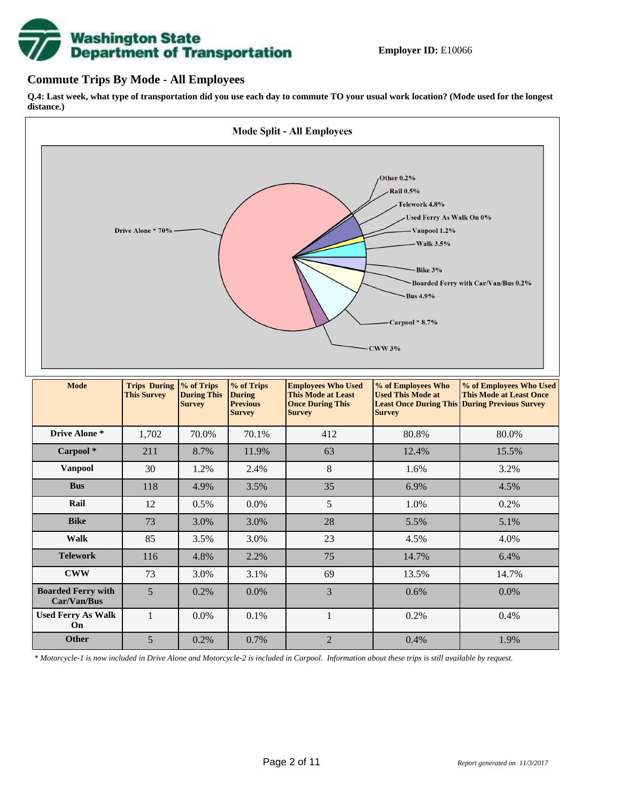# **Washington State<br>Department of Transportation**

#### **Commute Trips By Mode - All Employees**

**Q.4: Last week, what type of transportation did you use each day to commute TO your usual work location? (Mode used for the longest distance.)**



| <b>Telework</b>                          | 116 | 4.8%    | 2.2%    | 75 | 14.7%   | 6.4%    |
|------------------------------------------|-----|---------|---------|----|---------|---------|
| <b>CWW</b>                               | 73  | 3.0%    | 3.1%    | 69 | 13.5%   | 14.7%   |
| <b>Boarded Ferry with</b><br>Car/Van/Bus |     | 0.2%    | $0.0\%$ |    | 0.6%    | $0.0\%$ |
| <b>Used Ferry As Walk</b><br>On          |     | $0.0\%$ | $0.1\%$ |    | $0.2\%$ | 0.4%    |
| Other                                    |     | 0.2%    | $0.7\%$ |    | 0.4%    | 1.9%    |

*\* Motorcycle-1 is now included in Drive Alone and Motorcycle-2 is included in Carpool. Information about these trips is still available by request.*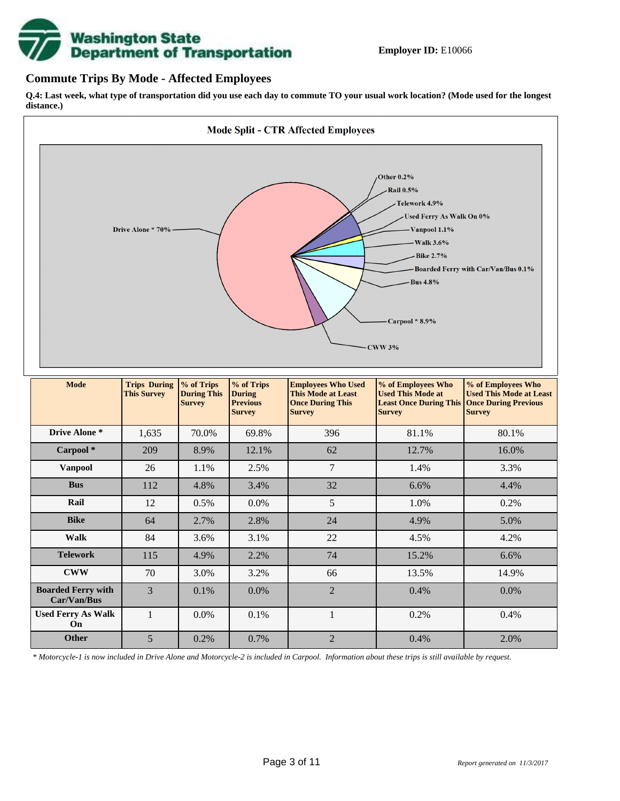

#### **Commute Trips By Mode - Affected Employees**

**Q.4: Last week, what type of transportation did you use each day to commute TO your usual work location? (Mode used for the longest distance.)**



*\* Motorcycle-1 is now included in Drive Alone and Motorcycle-2 is included in Carpool. Information about these trips is still available by request.*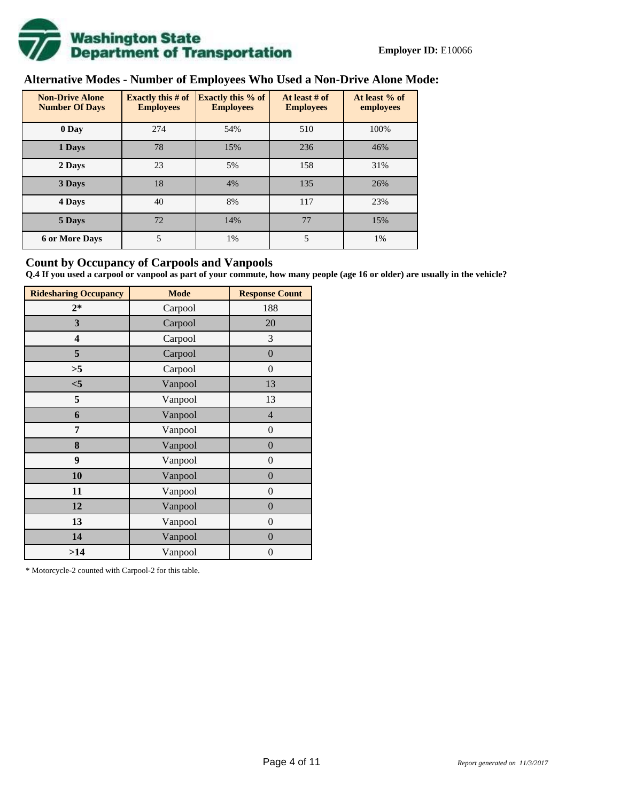

# **Alternative Modes - Number of Employees Who Used a Non-Drive Alone Mode:**

| <b>Non-Drive Alone</b><br><b>Number Of Days</b> | <b>Exactly this # of</b><br><b>Employees</b> | <b>Exactly this % of</b><br><b>Employees</b> | At least # of<br><b>Employees</b> | At least % of<br>employees |
|-------------------------------------------------|----------------------------------------------|----------------------------------------------|-----------------------------------|----------------------------|
| 0 Day                                           | 274                                          | 54%                                          | 510                               | 100%                       |
| 1 Days                                          | 78                                           | 15%                                          | 236                               | 46%                        |
| 2 Days                                          | 23                                           | 5%                                           | 158                               | 31%                        |
| 3 Days                                          | 18                                           | 4%                                           | 135                               | 26%                        |
| 4 Days                                          | 40                                           | 8%                                           | 117                               | 23%                        |
| 5 Days                                          | 72                                           | 14%                                          | 77                                | 15%                        |
| <b>6 or More Days</b>                           | 5                                            | 1%                                           | 5                                 | 1%                         |

#### **Count by Occupancy of Carpools and Vanpools**

**Q.4 If you used a carpool or vanpool as part of your commute, how many people (age 16 or older) are usually in the vehicle?**

| <b>Ridesharing Occupancy</b> | <b>Mode</b> | <b>Response Count</b> |
|------------------------------|-------------|-----------------------|
| $2*$                         | Carpool     | 188                   |
| 3                            | Carpool     | 20                    |
| 4                            | Carpool     | 3                     |
| 5                            | Carpool     | $\boldsymbol{0}$      |
| >5                           | Carpool     | $\boldsymbol{0}$      |
| $<$ 5                        | Vanpool     | 13                    |
| 5                            | Vanpool     | 13                    |
| 6                            | Vanpool     | $\overline{4}$        |
| 7                            | Vanpool     | $\boldsymbol{0}$      |
| 8                            | Vanpool     | $\boldsymbol{0}$      |
| 9                            | Vanpool     | $\overline{0}$        |
| 10                           | Vanpool     | $\overline{0}$        |
| 11                           | Vanpool     | $\boldsymbol{0}$      |
| 12                           | Vanpool     | $\boldsymbol{0}$      |
| 13                           | Vanpool     | $\boldsymbol{0}$      |
| 14                           | Vanpool     | $\overline{0}$        |
| >14                          | Vanpool     | $\boldsymbol{0}$      |

\* Motorcycle-2 counted with Carpool-2 for this table.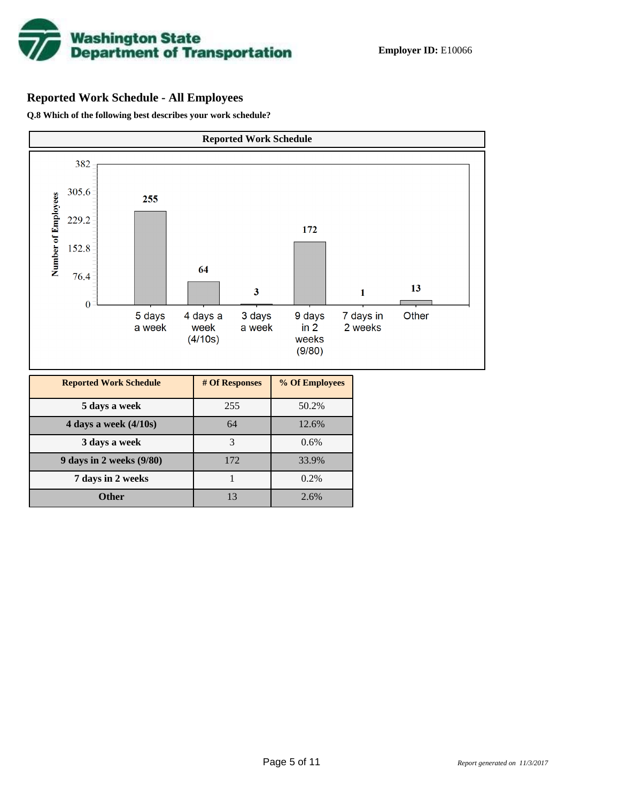

# **Reported Work Schedule - All Employees**

**Q.8 Which of the following best describes your work schedule?**

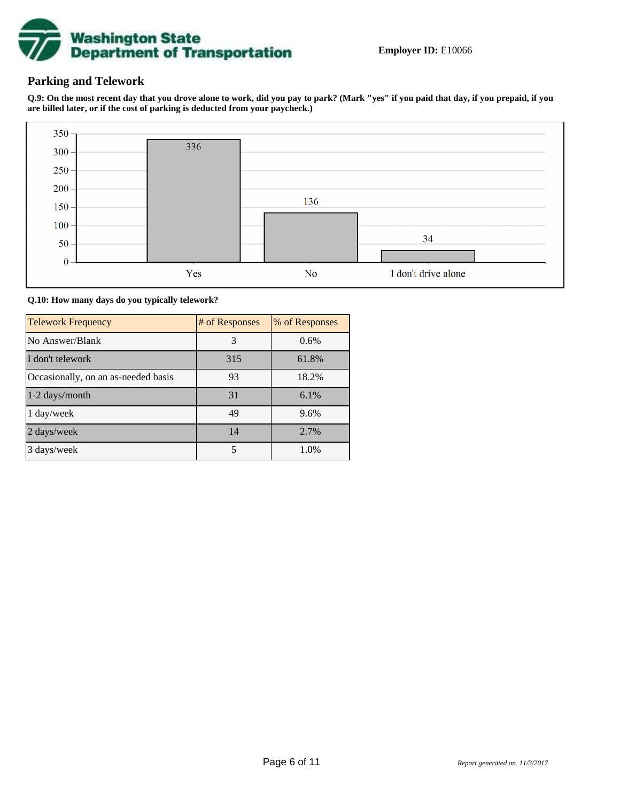

### **Parking and Telework**

**Q.9: On the most recent day that you drove alone to work, did you pay to park? (Mark "yes" if you paid that day, if you prepaid, if you are billed later, or if the cost of parking is deducted from your paycheck.)**



**Q.10: How many days do you typically telework?**

| <b>Telework Frequency</b>           | # of Responses | % of Responses |
|-------------------------------------|----------------|----------------|
| No Answer/Blank                     | 3              | 0.6%           |
| I don't telework                    | 315            | 61.8%          |
| Occasionally, on an as-needed basis | 93             | 18.2%          |
| 1-2 days/month                      | 31             | $6.1\%$        |
| 1 day/week                          | 49             | 9.6%           |
| 2 days/week                         | 14             | 2.7%           |
| 3 days/week                         | 5              | 1.0%           |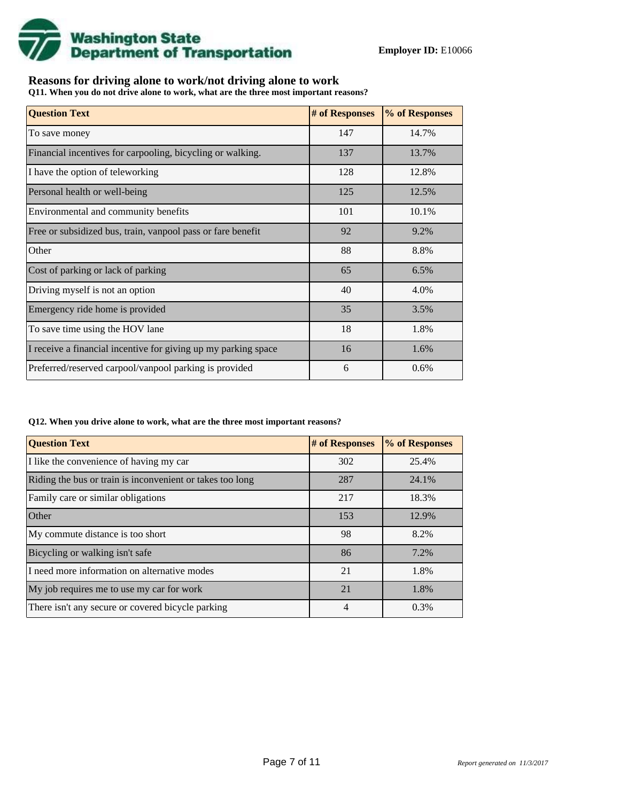

## **Reasons for driving alone to work/not driving alone to work**

**Q11. When you do not drive alone to work, what are the three most important reasons?**

| <b>Question Text</b>                                           | # of Responses | % of Responses |
|----------------------------------------------------------------|----------------|----------------|
| To save money                                                  | 147            | 14.7%          |
| Financial incentives for carpooling, bicycling or walking.     | 137            | 13.7%          |
| I have the option of teleworking                               | 128            | 12.8%          |
| Personal health or well-being                                  | 125            | 12.5%          |
| Environmental and community benefits                           | 101            | 10.1%          |
| Free or subsidized bus, train, vanpool pass or fare benefit    | 92             | 9.2%           |
| Other                                                          | 88             | 8.8%           |
| Cost of parking or lack of parking                             | 65             | 6.5%           |
| Driving myself is not an option                                | 40             | 4.0%           |
| Emergency ride home is provided                                | 35             | 3.5%           |
| To save time using the HOV lane                                | 18             | 1.8%           |
| I receive a financial incentive for giving up my parking space | 16             | 1.6%           |
| Preferred/reserved carpool/vanpool parking is provided         | 6              | 0.6%           |

#### **Q12. When you drive alone to work, what are the three most important reasons?**

| <b>Question Text</b>                                      | # of Responses | % of Responses |
|-----------------------------------------------------------|----------------|----------------|
| I like the convenience of having my car                   | 302            | 25.4%          |
| Riding the bus or train is inconvenient or takes too long | 287            | 24.1%          |
| Family care or similar obligations                        | 217            | 18.3%          |
| Other                                                     | 153            | 12.9%          |
| My commute distance is too short                          | 98             | 8.2%           |
| Bicycling or walking isn't safe                           | 86             | 7.2%           |
| I need more information on alternative modes              | 21             | 1.8%           |
| My job requires me to use my car for work                 | 21             | 1.8%           |
| There isn't any secure or covered bicycle parking         | 4              | 0.3%           |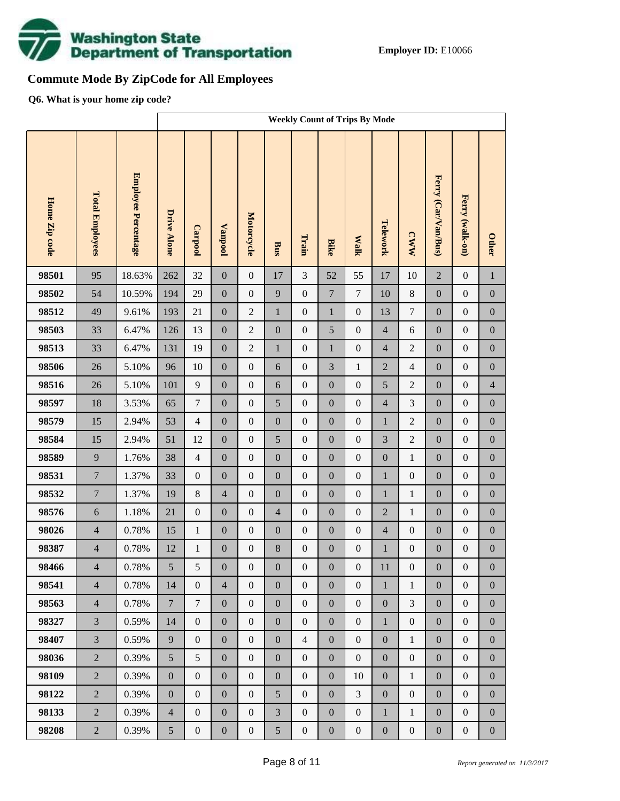

# **Commute Mode By ZipCode for All Employees**

**Q6. What is your home zip code?**

|               |                        |                            |                    | <b>Weekly Count of Trips By Mode</b> |                  |                  |                  |                  |                  |                  |                  |                  |                     |                  |                  |
|---------------|------------------------|----------------------------|--------------------|--------------------------------------|------------------|------------------|------------------|------------------|------------------|------------------|------------------|------------------|---------------------|------------------|------------------|
| Home Zip code | <b>Total Employees</b> | <b>Employee Percentage</b> | <b>Drive Alone</b> | Carpool                              | <b>Vanpool</b>   | Motorcycle       | Bus              | Train            | <b>Bike</b>      | <b>Walk</b>      | Telework         | <b>CWW</b>       | Ferry (Car/Van/Bus) | Ferry (walk-on)  | <b>Other</b>     |
| 98501         | 95                     | 18.63%                     | 262                | 32                                   | $\boldsymbol{0}$ | $\boldsymbol{0}$ | 17               | 3                | 52               | 55               | 17               | 10               | $\overline{2}$      | $\boldsymbol{0}$ | $\,1\,$          |
| 98502         | 54                     | 10.59%                     | 194                | 29                                   | $\boldsymbol{0}$ | $\overline{0}$   | 9                | $\mathbf{0}$     | $\boldsymbol{7}$ | $\tau$           | 10               | $8\,$            | $\boldsymbol{0}$    | $\boldsymbol{0}$ | $\boldsymbol{0}$ |
| 98512         | 49                     | 9.61%                      | 193                | 21                                   | $\boldsymbol{0}$ | $\overline{2}$   | $\mathbf{1}$     | $\boldsymbol{0}$ | $\mathbf 1$      | $\boldsymbol{0}$ | 13               | $\boldsymbol{7}$ | $\boldsymbol{0}$    | $\boldsymbol{0}$ | $\boldsymbol{0}$ |
| 98503         | 33                     | 6.47%                      | 126                | 13                                   | $\boldsymbol{0}$ | $\overline{2}$   | $\boldsymbol{0}$ | $\boldsymbol{0}$ | 5                | $\boldsymbol{0}$ | $\overline{4}$   | 6                | $\boldsymbol{0}$    | $\boldsymbol{0}$ | $\boldsymbol{0}$ |
| 98513         | 33                     | 6.47%                      | 131                | 19                                   | $\boldsymbol{0}$ | $\overline{2}$   | $\mathbf{1}$     | $\boldsymbol{0}$ | $\mathbf 1$      | $\boldsymbol{0}$ | $\overline{4}$   | $\overline{2}$   | $\boldsymbol{0}$    | $\boldsymbol{0}$ | $\boldsymbol{0}$ |
| 98506         | 26                     | 5.10%                      | 96                 | 10                                   | $\boldsymbol{0}$ | $\boldsymbol{0}$ | 6                | $\mathbf{0}$     | 3                | $\mathbf{1}$     | $\overline{2}$   | $\overline{4}$   | $\boldsymbol{0}$    | $\boldsymbol{0}$ | $\boldsymbol{0}$ |
| 98516         | 26                     | 5.10%                      | 101                | $\mathbf{9}$                         | $\boldsymbol{0}$ | $\boldsymbol{0}$ | 6                | $\boldsymbol{0}$ | $\boldsymbol{0}$ | $\boldsymbol{0}$ | 5                | $\overline{2}$   | $\boldsymbol{0}$    | $\boldsymbol{0}$ | $\overline{4}$   |
| 98597         | 18                     | 3.53%                      | 65                 | $\tau$                               | $\boldsymbol{0}$ | $\boldsymbol{0}$ | 5                | $\boldsymbol{0}$ | $\overline{0}$   | $\boldsymbol{0}$ | $\overline{4}$   | 3                | $\boldsymbol{0}$    | $\boldsymbol{0}$ | $\boldsymbol{0}$ |
| 98579         | 15                     | 2.94%                      | 53                 | $\overline{4}$                       | $\boldsymbol{0}$ | $\boldsymbol{0}$ | $\boldsymbol{0}$ | $\boldsymbol{0}$ | $\boldsymbol{0}$ | $\boldsymbol{0}$ | $\mathbf{1}$     | $\overline{2}$   | $\boldsymbol{0}$    | $\boldsymbol{0}$ | $\boldsymbol{0}$ |
| 98584         | 15                     | 2.94%                      | 51                 | 12                                   | $\boldsymbol{0}$ | $\boldsymbol{0}$ | 5                | $\mathbf{0}$     | $\overline{0}$   | $\boldsymbol{0}$ | 3                | $\overline{2}$   | $\boldsymbol{0}$    | $\boldsymbol{0}$ | $\boldsymbol{0}$ |
| 98589         | 9                      | 1.76%                      | 38                 | $\overline{4}$                       | $\boldsymbol{0}$ | $\boldsymbol{0}$ | $\boldsymbol{0}$ | $\boldsymbol{0}$ | $\boldsymbol{0}$ | $\boldsymbol{0}$ | $\boldsymbol{0}$ | $\mathbf{1}$     | $\boldsymbol{0}$    | $\boldsymbol{0}$ | $\boldsymbol{0}$ |
| 98531         | $\overline{7}$         | 1.37%                      | 33                 | $\boldsymbol{0}$                     | $\boldsymbol{0}$ | $\boldsymbol{0}$ | $\boldsymbol{0}$ | $\mathbf{0}$     | $\overline{0}$   | $\boldsymbol{0}$ | $\mathbf{1}$     | $\boldsymbol{0}$ | $\boldsymbol{0}$    | $\boldsymbol{0}$ | $\boldsymbol{0}$ |
| 98532         | $\overline{7}$         | 1.37%                      | 19                 | $8\,$                                | $\overline{4}$   | $\boldsymbol{0}$ | $\boldsymbol{0}$ | $\boldsymbol{0}$ | $\boldsymbol{0}$ | $\boldsymbol{0}$ | $\mathbf{1}$     | $\,1$            | $\boldsymbol{0}$    | $\boldsymbol{0}$ | $\boldsymbol{0}$ |
| 98576         | $\sqrt{6}$             | 1.18%                      | 21                 | $\boldsymbol{0}$                     | $\boldsymbol{0}$ | $\boldsymbol{0}$ | $\overline{4}$   | $\boldsymbol{0}$ | $\overline{0}$   | $\boldsymbol{0}$ | $\overline{2}$   | $\mathbf{1}$     | $\boldsymbol{0}$    | $\boldsymbol{0}$ | $\boldsymbol{0}$ |
| 98026         | $\overline{4}$         | 0.78%                      | 15                 | $\mathbf{1}$                         | $\boldsymbol{0}$ | $\boldsymbol{0}$ | $\boldsymbol{0}$ | $\boldsymbol{0}$ | $\boldsymbol{0}$ | $\boldsymbol{0}$ | $\overline{4}$   | $\boldsymbol{0}$ | $\boldsymbol{0}$    | $\boldsymbol{0}$ | $\boldsymbol{0}$ |
| 98387         | $\overline{4}$         | 0.78%                      | 12                 | $\mathbf{1}$                         | $\boldsymbol{0}$ | $\boldsymbol{0}$ | 8                | $\boldsymbol{0}$ | $\boldsymbol{0}$ | $\boldsymbol{0}$ | $\mathbf{1}$     | $\boldsymbol{0}$ | $\boldsymbol{0}$    | $\boldsymbol{0}$ | $\boldsymbol{0}$ |
| 98466         | $\overline{4}$         | $0.78\%$                   | 5                  | 5                                    | $\boldsymbol{0}$ | $\boldsymbol{0}$ | $\boldsymbol{0}$ | $\boldsymbol{0}$ | $\boldsymbol{0}$ | $\boldsymbol{0}$ | 11               | $\boldsymbol{0}$ | $\boldsymbol{0}$    | $\boldsymbol{0}$ | $\boldsymbol{0}$ |
| 98541         | $\overline{4}$         | 0.78%                      | 14                 | $\overline{0}$                       | $\overline{4}$   | $\overline{0}$   | $\overline{0}$   | $\overline{0}$   | $\overline{0}$   | $\boldsymbol{0}$ | $\mathbf{1}$     | $\mathbf{1}$     | $\boldsymbol{0}$    | $\boldsymbol{0}$ | $\mathbf{0}$     |
| 98563         | $\overline{4}$         | 0.78%                      | $7\overline{ }$    | $\tau$                               | $\boldsymbol{0}$ | $\boldsymbol{0}$ | $\boldsymbol{0}$ | $\mathbf{0}$     | $\boldsymbol{0}$ | $\boldsymbol{0}$ | $\boldsymbol{0}$ | 3                | $\boldsymbol{0}$    | $\boldsymbol{0}$ | $\boldsymbol{0}$ |
| 98327         | $\overline{3}$         | 0.59%                      | 14                 | $\overline{0}$                       | $\boldsymbol{0}$ | $\boldsymbol{0}$ | $\boldsymbol{0}$ | $\boldsymbol{0}$ | $\boldsymbol{0}$ | $\boldsymbol{0}$ | $\mathbf{1}$     | $\boldsymbol{0}$ | $\boldsymbol{0}$    | $\boldsymbol{0}$ | $\boldsymbol{0}$ |
| 98407         | $\overline{3}$         | 0.59%                      | 9                  | $\boldsymbol{0}$                     | $\overline{0}$   | $\overline{0}$   | $\overline{0}$   | $\overline{4}$   | $\overline{0}$   | $\boldsymbol{0}$ | $\boldsymbol{0}$ | $\mathbf{1}$     | $\boldsymbol{0}$    | $\boldsymbol{0}$ | $\boldsymbol{0}$ |
| 98036         | $\overline{2}$         | 0.39%                      | 5                  | 5                                    | $\boldsymbol{0}$ | $\boldsymbol{0}$ | $\boldsymbol{0}$ | $\boldsymbol{0}$ | $\boldsymbol{0}$ | $\boldsymbol{0}$ | $\boldsymbol{0}$ | $\boldsymbol{0}$ | $\boldsymbol{0}$    | $\boldsymbol{0}$ | $\boldsymbol{0}$ |
| 98109         | $\overline{2}$         | 0.39%                      | $\boldsymbol{0}$   | $\boldsymbol{0}$                     | $\overline{0}$   | $\overline{0}$   | $\boldsymbol{0}$ | $\mathbf{0}$     | $\overline{0}$   | 10               | $\boldsymbol{0}$ | $\mathbf{1}$     | $\boldsymbol{0}$    | $\boldsymbol{0}$ | $\boldsymbol{0}$ |
| 98122         | $\overline{2}$         | 0.39%                      | $\boldsymbol{0}$   | $\boldsymbol{0}$                     | $\boldsymbol{0}$ | $\boldsymbol{0}$ | 5                | $\boldsymbol{0}$ | $\boldsymbol{0}$ | $\overline{3}$   | $\boldsymbol{0}$ | $\boldsymbol{0}$ | $\boldsymbol{0}$    | $\boldsymbol{0}$ | $\boldsymbol{0}$ |
| 98133         | $\overline{2}$         | 0.39%                      | $\overline{4}$     | $\boldsymbol{0}$                     | $\boldsymbol{0}$ | $\boldsymbol{0}$ | 3                | $\boldsymbol{0}$ | $\overline{0}$   | $\boldsymbol{0}$ | $\mathbf{1}$     | $\,1$            | $\boldsymbol{0}$    | $\boldsymbol{0}$ | $\boldsymbol{0}$ |
| 98208         | $\overline{2}$         | 0.39%                      | 5                  | $\boldsymbol{0}$                     | $\boldsymbol{0}$ | $\boldsymbol{0}$ | 5                | $\boldsymbol{0}$ | $\boldsymbol{0}$ | $\boldsymbol{0}$ | $\boldsymbol{0}$ | $\boldsymbol{0}$ | $\boldsymbol{0}$    | $\boldsymbol{0}$ | $\boldsymbol{0}$ |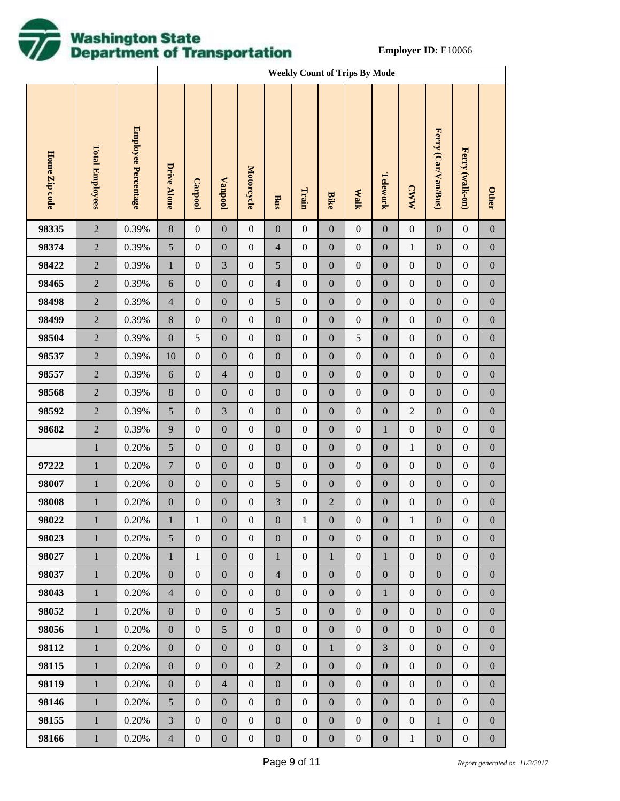

|               |                        |                            |                  | <b>Weekly Count of Trips By Mode</b> |                  |                   |                  |                  |                  |                  |                  |                  |                     |                  |                  |
|---------------|------------------------|----------------------------|------------------|--------------------------------------|------------------|-------------------|------------------|------------------|------------------|------------------|------------------|------------------|---------------------|------------------|------------------|
| Home Zip code | <b>Total Employees</b> | <b>Employee Percentage</b> | Drive Alone      | <b>Carpool</b>                       | <b>Vanpool</b>   | <b>Motorcycle</b> | Bus              | Train            | <b>Bike</b>      | <b>Walk</b>      | Telework         | <b>CWW</b>       | Ferry (Car/Van/Bus) | Ferry (walk-on)  | <b>Other</b>     |
| 98335         | $\overline{2}$         | 0.39%                      | $\,8\,$          | $\boldsymbol{0}$                     | $\boldsymbol{0}$ | $\boldsymbol{0}$  | $\boldsymbol{0}$ | $\boldsymbol{0}$ | $\boldsymbol{0}$ | $\boldsymbol{0}$ | $\boldsymbol{0}$ | $\boldsymbol{0}$ | $\boldsymbol{0}$    | $\boldsymbol{0}$ | $\boldsymbol{0}$ |
| 98374         | $\sqrt{2}$             | 0.39%                      | $\sqrt{5}$       | $\boldsymbol{0}$                     | $\boldsymbol{0}$ | $\boldsymbol{0}$  | $\overline{4}$   | $\boldsymbol{0}$ | $\boldsymbol{0}$ | $\boldsymbol{0}$ | $\boldsymbol{0}$ | $\,1$            | $\boldsymbol{0}$    | $\boldsymbol{0}$ | $\boldsymbol{0}$ |
| 98422         | $\sqrt{2}$             | 0.39%                      | $\mathbf{1}$     | $\boldsymbol{0}$                     | $\mathfrak{Z}$   | $\boldsymbol{0}$  | $\mathfrak{S}$   | $\boldsymbol{0}$ | $\boldsymbol{0}$ | $\boldsymbol{0}$ | $\boldsymbol{0}$ | $\boldsymbol{0}$ | $\boldsymbol{0}$    | $\boldsymbol{0}$ | $\boldsymbol{0}$ |
| 98465         | $\sqrt{2}$             | 0.39%                      | $\sqrt{6}$       | $\boldsymbol{0}$                     | $\boldsymbol{0}$ | $\boldsymbol{0}$  | $\overline{4}$   | $\boldsymbol{0}$ | $\boldsymbol{0}$ | $\boldsymbol{0}$ | $\boldsymbol{0}$ | $\boldsymbol{0}$ | $\boldsymbol{0}$    | $\boldsymbol{0}$ | $\boldsymbol{0}$ |
| 98498         | $\sqrt{2}$             | 0.39%                      | $\overline{4}$   | $\boldsymbol{0}$                     | $\boldsymbol{0}$ | $\boldsymbol{0}$  | $\mathfrak{S}$   | $\boldsymbol{0}$ | $\boldsymbol{0}$ | $\boldsymbol{0}$ | $\boldsymbol{0}$ | $\boldsymbol{0}$ | $\boldsymbol{0}$    | $\boldsymbol{0}$ | $\boldsymbol{0}$ |
| 98499         | $\overline{2}$         | 0.39%                      | $\,8\,$          | $\boldsymbol{0}$                     | $\boldsymbol{0}$ | $\boldsymbol{0}$  | $\boldsymbol{0}$ | $\boldsymbol{0}$ | $\boldsymbol{0}$ | $\boldsymbol{0}$ | $\boldsymbol{0}$ | $\boldsymbol{0}$ | $\boldsymbol{0}$    | $\boldsymbol{0}$ | $\boldsymbol{0}$ |
| 98504         | $\sqrt{2}$             | 0.39%                      | $\boldsymbol{0}$ | $\mathfrak s$                        | $\boldsymbol{0}$ | $\boldsymbol{0}$  | $\boldsymbol{0}$ | $\boldsymbol{0}$ | $\boldsymbol{0}$ | $\mathfrak s$    | $\boldsymbol{0}$ | $\boldsymbol{0}$ | $\boldsymbol{0}$    | $\boldsymbol{0}$ | $\boldsymbol{0}$ |
| 98537         | $\sqrt{2}$             | 0.39%                      | 10               | $\boldsymbol{0}$                     | $\boldsymbol{0}$ | $\boldsymbol{0}$  | $\boldsymbol{0}$ | $\boldsymbol{0}$ | $\boldsymbol{0}$ | $\boldsymbol{0}$ | $\boldsymbol{0}$ | $\boldsymbol{0}$ | $\boldsymbol{0}$    | $\boldsymbol{0}$ | $\boldsymbol{0}$ |
| 98557         | $\overline{2}$         | 0.39%                      | $\sqrt{6}$       | $\boldsymbol{0}$                     | $\overline{4}$   | $\boldsymbol{0}$  | $\boldsymbol{0}$ | $\boldsymbol{0}$ | $\boldsymbol{0}$ | $\boldsymbol{0}$ | $\boldsymbol{0}$ | $\boldsymbol{0}$ | $\boldsymbol{0}$    | $\boldsymbol{0}$ | $\boldsymbol{0}$ |
| 98568         | $\sqrt{2}$             | 0.39%                      | $\,8\,$          | $\boldsymbol{0}$                     | $\boldsymbol{0}$ | $\boldsymbol{0}$  | $\boldsymbol{0}$ | $\boldsymbol{0}$ | $\boldsymbol{0}$ | $\boldsymbol{0}$ | $\boldsymbol{0}$ | $\boldsymbol{0}$ | $\boldsymbol{0}$    | $\boldsymbol{0}$ | $\boldsymbol{0}$ |
| 98592         | $\overline{2}$         | 0.39%                      | $\sqrt{5}$       | $\boldsymbol{0}$                     | $\mathfrak{Z}$   | $\boldsymbol{0}$  | $\boldsymbol{0}$ | $\boldsymbol{0}$ | $\boldsymbol{0}$ | $\boldsymbol{0}$ | $\boldsymbol{0}$ | $\sqrt{2}$       | $\boldsymbol{0}$    | $\boldsymbol{0}$ | $\boldsymbol{0}$ |
| 98682         | $\sqrt{2}$             | 0.39%                      | $\overline{9}$   | $\boldsymbol{0}$                     | $\boldsymbol{0}$ | $\boldsymbol{0}$  | $\boldsymbol{0}$ | $\boldsymbol{0}$ | $\boldsymbol{0}$ | $\boldsymbol{0}$ | $\mathbf 1$      | $\boldsymbol{0}$ | $\boldsymbol{0}$    | $\boldsymbol{0}$ | $\boldsymbol{0}$ |
|               | $\mathbf 1$            | 0.20%                      | $\sqrt{5}$       | $\boldsymbol{0}$                     | $\boldsymbol{0}$ | $\boldsymbol{0}$  | $\boldsymbol{0}$ | $\boldsymbol{0}$ | $\boldsymbol{0}$ | $\boldsymbol{0}$ | $\boldsymbol{0}$ | $\,1$            | $\boldsymbol{0}$    | $\boldsymbol{0}$ | $\boldsymbol{0}$ |
| 97222         | $\,1$                  | 0.20%                      | $\overline{7}$   | $\boldsymbol{0}$                     | $\boldsymbol{0}$ | $\boldsymbol{0}$  | $\boldsymbol{0}$ | $\boldsymbol{0}$ | $\boldsymbol{0}$ | $\boldsymbol{0}$ | $\boldsymbol{0}$ | $\boldsymbol{0}$ | $\boldsymbol{0}$    | $\boldsymbol{0}$ | $\boldsymbol{0}$ |
| 98007         | $\,1$                  | 0.20%                      | $\boldsymbol{0}$ | $\boldsymbol{0}$                     | $\boldsymbol{0}$ | $\boldsymbol{0}$  | $\mathfrak{S}$   | $\boldsymbol{0}$ | $\boldsymbol{0}$ | $\boldsymbol{0}$ | $\boldsymbol{0}$ | $\boldsymbol{0}$ | $\boldsymbol{0}$    | $\boldsymbol{0}$ | $\boldsymbol{0}$ |
| 98008         | $\,1$                  | 0.20%                      | $\boldsymbol{0}$ | $\boldsymbol{0}$                     | $\boldsymbol{0}$ | $\boldsymbol{0}$  | $\mathfrak{Z}$   | $\boldsymbol{0}$ | $\sqrt{2}$       | $\boldsymbol{0}$ | $\boldsymbol{0}$ | $\boldsymbol{0}$ | $\boldsymbol{0}$    | $\boldsymbol{0}$ | $\boldsymbol{0}$ |
| 98022         | $\mathbf{1}$           | 0.20%                      | $\,1$            | $\mathbf{1}$                         | $\boldsymbol{0}$ | $\boldsymbol{0}$  | $\boldsymbol{0}$ | 1                | $\boldsymbol{0}$ | $\boldsymbol{0}$ | $\boldsymbol{0}$ | $\mathbf{1}$     | $\boldsymbol{0}$    | $\boldsymbol{0}$ | $\boldsymbol{0}$ |
| 98023         | $\mathbf{1}$           | 0.20%                      | 5                | $\overline{0}$                       | $\overline{0}$   | $\overline{0}$    | $\mathbf{0}$     | $\boldsymbol{0}$ | $\mathbf{0}$     | $\boldsymbol{0}$ | $\mathbf{0}$     | $\boldsymbol{0}$ | $\theta$            | $\mathbf{0}$     | $\mathbf{0}$     |
| 98027         | $\mathbf{1}$           | 0.20%                      | $\mathbf{1}$     | $\mathbf{1}$                         | $\boldsymbol{0}$ | $\boldsymbol{0}$  | $\mathbf 1$      | $\boldsymbol{0}$ | $\mathbf{1}$     | $\boldsymbol{0}$ | $\mathbf{1}$     | $\boldsymbol{0}$ | $\boldsymbol{0}$    | $\boldsymbol{0}$ | $\overline{0}$   |
| 98037         | $\mathbf{1}$           | 0.20%                      | $\mathbf{0}$     | $\boldsymbol{0}$                     | $\boldsymbol{0}$ | $\mathbf{0}$      | $\overline{4}$   | $\boldsymbol{0}$ | $\mathbf{0}$     | $\overline{0}$   | $\boldsymbol{0}$ | $\mathbf{0}$     | $\boldsymbol{0}$    | $\mathbf{0}$     | $\boldsymbol{0}$ |
| 98043         | $\mathbf{1}$           | 0.20%                      | $\overline{4}$   | $\boldsymbol{0}$                     | $\boldsymbol{0}$ | $\boldsymbol{0}$  | $\boldsymbol{0}$ | $\boldsymbol{0}$ | $\boldsymbol{0}$ | $\boldsymbol{0}$ | $\mathbf{1}$     | $\boldsymbol{0}$ | $\boldsymbol{0}$    | $\boldsymbol{0}$ | $\boldsymbol{0}$ |
| 98052         | $\mathbf{1}$           | 0.20%                      | $\mathbf{0}$     | $\boldsymbol{0}$                     | $\boldsymbol{0}$ | $\mathbf{0}$      | $\sqrt{5}$       | $\boldsymbol{0}$ | $\mathbf{0}$     | $\mathbf{0}$     | $\mathbf{0}$     | $\mathbf{0}$     | $\boldsymbol{0}$    | $\mathbf{0}$     | $\boldsymbol{0}$ |
| 98056         | $\mathbf{1}$           | 0.20%                      | $\mathbf{0}$     | $\boldsymbol{0}$                     | 5                | $\boldsymbol{0}$  | $\boldsymbol{0}$ | $\boldsymbol{0}$ | $\boldsymbol{0}$ | $\boldsymbol{0}$ | $\boldsymbol{0}$ | $\boldsymbol{0}$ | $\boldsymbol{0}$    | $\boldsymbol{0}$ | $\boldsymbol{0}$ |
| 98112         | $\mathbf{1}$           | 0.20%                      | $\mathbf{0}$     | $\boldsymbol{0}$                     | $\boldsymbol{0}$ | $\boldsymbol{0}$  | $\boldsymbol{0}$ | $\boldsymbol{0}$ | $\mathbf{1}$     | $\mathbf{0}$     | 3                | $\mathbf{0}$     | $\boldsymbol{0}$    | $\mathbf{0}$     | $\boldsymbol{0}$ |
| 98115         | $\mathbf{1}$           | 0.20%                      | $\mathbf{0}$     | $\boldsymbol{0}$                     | $\boldsymbol{0}$ | $\boldsymbol{0}$  | $\overline{c}$   | $\boldsymbol{0}$ | $\boldsymbol{0}$ | $\boldsymbol{0}$ | $\boldsymbol{0}$ | $\boldsymbol{0}$ | $\boldsymbol{0}$    | $\boldsymbol{0}$ | $\boldsymbol{0}$ |
| 98119         | $\mathbf{1}$           | 0.20%                      | $\mathbf{0}$     | $\boldsymbol{0}$                     | $\overline{4}$   | $\mathbf{0}$      | $\boldsymbol{0}$ | $\boldsymbol{0}$ | $\mathbf{0}$     | $\boldsymbol{0}$ | $\mathbf{0}$     | $\mathbf{0}$     | $\boldsymbol{0}$    | $\mathbf{0}$     | $\mathbf{0}$     |
| 98146         | $\mathbf{1}$           | 0.20%                      | $\mathfrak{S}$   | $\boldsymbol{0}$                     | $\boldsymbol{0}$ | $\boldsymbol{0}$  | $\boldsymbol{0}$ | $\boldsymbol{0}$ | $\boldsymbol{0}$ | $\boldsymbol{0}$ | $\boldsymbol{0}$ | $\boldsymbol{0}$ | $\boldsymbol{0}$    | $\boldsymbol{0}$ | $\boldsymbol{0}$ |
| 98155         | $\mathbf{1}$           | 0.20%                      | 3                | $\boldsymbol{0}$                     | $\boldsymbol{0}$ | $\boldsymbol{0}$  | $\boldsymbol{0}$ | $\boldsymbol{0}$ | $\boldsymbol{0}$ | $\boldsymbol{0}$ | $\boldsymbol{0}$ | $\boldsymbol{0}$ | $\mathbf{1}$        | $\boldsymbol{0}$ | $\boldsymbol{0}$ |
| 98166         | $\,1$                  | 0.20%                      | $\overline{4}$   | $\boldsymbol{0}$                     | $\boldsymbol{0}$ | $\boldsymbol{0}$  | $\boldsymbol{0}$ | $\boldsymbol{0}$ | $\boldsymbol{0}$ | $\boldsymbol{0}$ | $\boldsymbol{0}$ | $\mathbf{1}$     | $\boldsymbol{0}$    | $\boldsymbol{0}$ | $\boldsymbol{0}$ |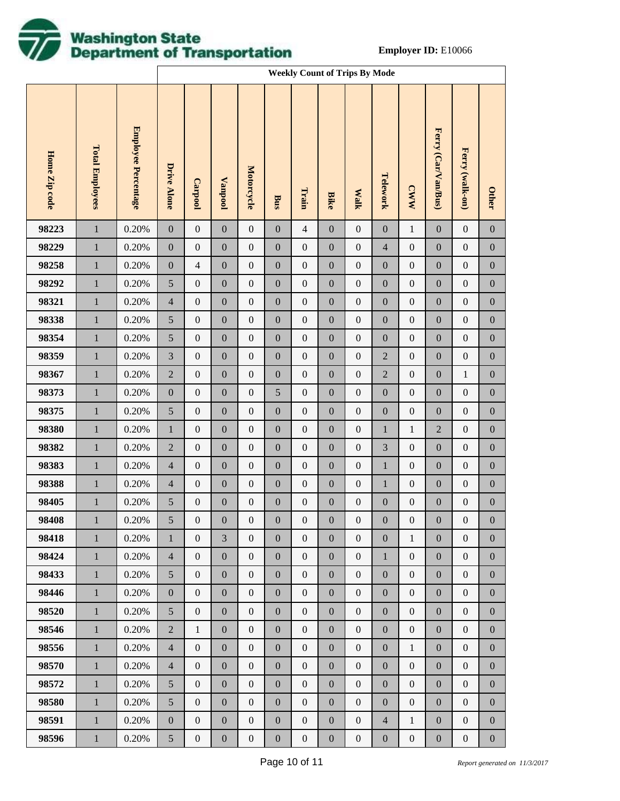

|               |                        |                            |                             | <b>Weekly Count of Trips By Mode</b> |                  |                   |                  |                  |                  |                  |                          |                  |                     |                  |                  |
|---------------|------------------------|----------------------------|-----------------------------|--------------------------------------|------------------|-------------------|------------------|------------------|------------------|------------------|--------------------------|------------------|---------------------|------------------|------------------|
| Home Zip code | <b>Total Employees</b> | <b>Employee Percentage</b> | Drive Alone                 | <b>Carpool</b>                       | <b>Vanpool</b>   | <b>Motorcycle</b> | Bus              | Train            | <b>Bike</b>      | <b>Walk</b>      | Telework                 | <b>CWW</b>       | Ferry (Car/Van/Bus) | Ferry (walk-on)  | <b>Other</b>     |
| 98223         | $\,1\,$                | 0.20%                      | $\boldsymbol{0}$            | $\boldsymbol{0}$                     | $\boldsymbol{0}$ | $\boldsymbol{0}$  | $\mathbf{0}$     | $\overline{4}$   | $\boldsymbol{0}$ | $\boldsymbol{0}$ | $\boldsymbol{0}$         | $\,1$            | $\boldsymbol{0}$    | $\boldsymbol{0}$ | $\boldsymbol{0}$ |
| 98229         | $\mathbf 1$            | 0.20%                      | $\boldsymbol{0}$            | $\boldsymbol{0}$                     | $\boldsymbol{0}$ | $\boldsymbol{0}$  | $\boldsymbol{0}$ | $\boldsymbol{0}$ | $\boldsymbol{0}$ | $\boldsymbol{0}$ | $\overline{\mathcal{L}}$ | $\boldsymbol{0}$ | $\boldsymbol{0}$    | $\boldsymbol{0}$ | $\boldsymbol{0}$ |
| 98258         | $\mathbf 1$            | 0.20%                      | $\boldsymbol{0}$            | $\overline{4}$                       | $\boldsymbol{0}$ | $\boldsymbol{0}$  | $\boldsymbol{0}$ | $\boldsymbol{0}$ | $\boldsymbol{0}$ | $\boldsymbol{0}$ | $\boldsymbol{0}$         | $\boldsymbol{0}$ | $\boldsymbol{0}$    | $\boldsymbol{0}$ | $\boldsymbol{0}$ |
| 98292         | $\,1$                  | 0.20%                      | $\sqrt{5}$                  | $\boldsymbol{0}$                     | $\boldsymbol{0}$ | $\boldsymbol{0}$  | $\boldsymbol{0}$ | $\boldsymbol{0}$ | $\boldsymbol{0}$ | $\boldsymbol{0}$ | $\boldsymbol{0}$         | $\boldsymbol{0}$ | $\boldsymbol{0}$    | $\boldsymbol{0}$ | $\boldsymbol{0}$ |
| 98321         | $\mathbf 1$            | 0.20%                      | $\overline{4}$              | $\boldsymbol{0}$                     | $\boldsymbol{0}$ | $\boldsymbol{0}$  | $\boldsymbol{0}$ | $\boldsymbol{0}$ | $\boldsymbol{0}$ | $\boldsymbol{0}$ | $\boldsymbol{0}$         | $\boldsymbol{0}$ | $\boldsymbol{0}$    | $\boldsymbol{0}$ | $\boldsymbol{0}$ |
| 98338         | $\,1$                  | 0.20%                      | $\sqrt{5}$                  | $\boldsymbol{0}$                     | $\boldsymbol{0}$ | $\boldsymbol{0}$  | $\boldsymbol{0}$ | $\boldsymbol{0}$ | $\boldsymbol{0}$ | $\boldsymbol{0}$ | $\boldsymbol{0}$         | $\boldsymbol{0}$ | $\boldsymbol{0}$    | $\boldsymbol{0}$ | $\boldsymbol{0}$ |
| 98354         | $\mathbf 1$            | 0.20%                      | $\sqrt{5}$                  | $\boldsymbol{0}$                     | $\boldsymbol{0}$ | $\boldsymbol{0}$  | $\boldsymbol{0}$ | $\boldsymbol{0}$ | $\boldsymbol{0}$ | $\boldsymbol{0}$ | $\boldsymbol{0}$         | $\boldsymbol{0}$ | $\boldsymbol{0}$    | $\boldsymbol{0}$ | $\boldsymbol{0}$ |
| 98359         | $\,1$                  | 0.20%                      | $\ensuremath{\mathfrak{Z}}$ | $\boldsymbol{0}$                     | $\boldsymbol{0}$ | $\boldsymbol{0}$  | $\boldsymbol{0}$ | $\boldsymbol{0}$ | $\boldsymbol{0}$ | $\boldsymbol{0}$ | $\overline{2}$           | $\boldsymbol{0}$ | $\boldsymbol{0}$    | $\boldsymbol{0}$ | $\boldsymbol{0}$ |
| 98367         | $\mathbf 1$            | 0.20%                      | $\sqrt{2}$                  | $\boldsymbol{0}$                     | $\boldsymbol{0}$ | $\boldsymbol{0}$  | $\boldsymbol{0}$ | $\boldsymbol{0}$ | $\boldsymbol{0}$ | $\boldsymbol{0}$ | $\sqrt{2}$               | $\boldsymbol{0}$ | $\boldsymbol{0}$    | $\mathbf{1}$     | $\boldsymbol{0}$ |
| 98373         | $\,1$                  | 0.20%                      | $\boldsymbol{0}$            | $\boldsymbol{0}$                     | $\boldsymbol{0}$ | $\boldsymbol{0}$  | $\mathfrak{S}$   | $\boldsymbol{0}$ | $\boldsymbol{0}$ | $\boldsymbol{0}$ | $\boldsymbol{0}$         | $\boldsymbol{0}$ | $\boldsymbol{0}$    | $\boldsymbol{0}$ | $\boldsymbol{0}$ |
| 98375         | $\mathbf 1$            | 0.20%                      | $\sqrt{5}$                  | $\boldsymbol{0}$                     | $\boldsymbol{0}$ | $\boldsymbol{0}$  | $\boldsymbol{0}$ | $\boldsymbol{0}$ | $\boldsymbol{0}$ | $\boldsymbol{0}$ | $\boldsymbol{0}$         | $\boldsymbol{0}$ | $\boldsymbol{0}$    | $\boldsymbol{0}$ | $\boldsymbol{0}$ |
| 98380         | $\mathbf 1$            | 0.20%                      | $\mathbf{1}$                | $\boldsymbol{0}$                     | $\boldsymbol{0}$ | $\boldsymbol{0}$  | $\boldsymbol{0}$ | $\boldsymbol{0}$ | $\boldsymbol{0}$ | $\boldsymbol{0}$ | $\mathbf 1$              | $\mathbf{1}$     | $\sqrt{2}$          | $\boldsymbol{0}$ | $\boldsymbol{0}$ |
| 98382         | $\mathbf 1$            | 0.20%                      | $\sqrt{2}$                  | $\boldsymbol{0}$                     | $\boldsymbol{0}$ | $\boldsymbol{0}$  | $\boldsymbol{0}$ | $\boldsymbol{0}$ | $\boldsymbol{0}$ | $\boldsymbol{0}$ | 3                        | $\boldsymbol{0}$ | $\boldsymbol{0}$    | $\boldsymbol{0}$ | $\boldsymbol{0}$ |
| 98383         | $\mathbf 1$            | 0.20%                      | $\overline{4}$              | $\boldsymbol{0}$                     | $\boldsymbol{0}$ | $\boldsymbol{0}$  | $\boldsymbol{0}$ | $\boldsymbol{0}$ | $\boldsymbol{0}$ | $\boldsymbol{0}$ | $\mathbf 1$              | $\boldsymbol{0}$ | $\boldsymbol{0}$    | $\boldsymbol{0}$ | $\boldsymbol{0}$ |
| 98388         | $\mathbf 1$            | 0.20%                      | $\overline{4}$              | $\boldsymbol{0}$                     | $\boldsymbol{0}$ | $\boldsymbol{0}$  | $\boldsymbol{0}$ | $\boldsymbol{0}$ | $\boldsymbol{0}$ | $\boldsymbol{0}$ | $\,1$                    | $\boldsymbol{0}$ | $\boldsymbol{0}$    | $\boldsymbol{0}$ | $\boldsymbol{0}$ |
| 98405         | $\,1$                  | 0.20%                      | $\sqrt{5}$                  | $\boldsymbol{0}$                     | $\boldsymbol{0}$ | $\boldsymbol{0}$  | $\boldsymbol{0}$ | $\boldsymbol{0}$ | $\boldsymbol{0}$ | $\boldsymbol{0}$ | $\boldsymbol{0}$         | $\boldsymbol{0}$ | $\boldsymbol{0}$    | $\boldsymbol{0}$ | $\boldsymbol{0}$ |
| 98408         | $\mathbf{1}$           | 0.20%                      | 5                           | $\boldsymbol{0}$                     | $\boldsymbol{0}$ | $\boldsymbol{0}$  | $\boldsymbol{0}$ | $\boldsymbol{0}$ | $\boldsymbol{0}$ | $\boldsymbol{0}$ | $\boldsymbol{0}$         | $\boldsymbol{0}$ | $\boldsymbol{0}$    | $\boldsymbol{0}$ | $\mathbf{0}$     |
| 98418         | $\mathbf{1}$           | 0.20%                      | $\mathbf{1}$                | $\overline{0}$                       | 3                | $\mathbf{0}$      | $\mathbf{0}$     | $\boldsymbol{0}$ | $\mathbf{0}$     | $\boldsymbol{0}$ | $\mathbf{0}$             | $\mathbf{1}$     | $\mathbf{0}$        | $\overline{0}$   | $\mathbf{0}$     |
| 98424         | $\mathbf{1}$           | 0.20%                      | $\overline{4}$              | $\boldsymbol{0}$                     | $\boldsymbol{0}$ | $\boldsymbol{0}$  | $\boldsymbol{0}$ | $\boldsymbol{0}$ | $\boldsymbol{0}$ | $\boldsymbol{0}$ | $\mathbf{1}$             | $\boldsymbol{0}$ | $\boldsymbol{0}$    | $\mathbf{0}$     | $\overline{0}$   |
| 98433         | $\mathbf{1}$           | 0.20%                      | 5 <sup>5</sup>              | $\boldsymbol{0}$                     | $\boldsymbol{0}$ | $\overline{0}$    | $\boldsymbol{0}$ | $\boldsymbol{0}$ | $\mathbf{0}$     | $\overline{0}$   | $\mathbf{0}$             | $\mathbf{0}$     | $\boldsymbol{0}$    | $\mathbf{0}$     | $\mathbf{0}$     |
| 98446         | $\mathbf{1}$           | 0.20%                      | $\mathbf{0}$                | $\mathbf{0}$                         | $\boldsymbol{0}$ | $\boldsymbol{0}$  | $\boldsymbol{0}$ | $\boldsymbol{0}$ | $\boldsymbol{0}$ | $\boldsymbol{0}$ | $\boldsymbol{0}$         | $\boldsymbol{0}$ | $\boldsymbol{0}$    | $\mathbf{0}$     | $\boldsymbol{0}$ |
| 98520         | $\mathbf{1}$           | 0.20%                      | 5 <sup>5</sup>              | $\boldsymbol{0}$                     | $\boldsymbol{0}$ | $\overline{0}$    | $\boldsymbol{0}$ | $\boldsymbol{0}$ | $\mathbf{0}$     | $\overline{0}$   | $\mathbf{0}$             | $\mathbf{0}$     | $\boldsymbol{0}$    | $\mathbf{0}$     | $\mathbf{0}$     |
| 98546         | $\mathbf{1}$           | 0.20%                      | $\overline{2}$              | $\mathbf{1}$                         | $\boldsymbol{0}$ | $\boldsymbol{0}$  | $\boldsymbol{0}$ | $\boldsymbol{0}$ | $\boldsymbol{0}$ | $\boldsymbol{0}$ | $\boldsymbol{0}$         | $\boldsymbol{0}$ | $\boldsymbol{0}$    | $\boldsymbol{0}$ | $\boldsymbol{0}$ |
| 98556         | $\mathbf{1}$           | 0.20%                      | $\overline{4}$              | $\boldsymbol{0}$                     | $\boldsymbol{0}$ | $\overline{0}$    | $\boldsymbol{0}$ | $\boldsymbol{0}$ | $\mathbf{0}$     | $\overline{0}$   | $\mathbf{0}$             | $\mathbf{1}$     | $\boldsymbol{0}$    | $\mathbf{0}$     | $\mathbf{0}$     |
| 98570         | $\mathbf{1}$           | 0.20%                      | $\overline{4}$              | $\boldsymbol{0}$                     | $\boldsymbol{0}$ | $\boldsymbol{0}$  | $\boldsymbol{0}$ | $\boldsymbol{0}$ | $\boldsymbol{0}$ | $\boldsymbol{0}$ | $\boldsymbol{0}$         | $\boldsymbol{0}$ | $\boldsymbol{0}$    | $\boldsymbol{0}$ | $\boldsymbol{0}$ |
| 98572         | $\mathbf{1}$           | 0.20%                      | $\mathfrak{S}$              | $\boldsymbol{0}$                     | $\boldsymbol{0}$ | $\overline{0}$    | $\boldsymbol{0}$ | $\boldsymbol{0}$ | $\mathbf{0}$     | $\overline{0}$   | $\mathbf{0}$             | $\boldsymbol{0}$ | $\boldsymbol{0}$    | $\mathbf{0}$     | $\mathbf{0}$     |
| 98580         | $\mathbf{1}$           | 0.20%                      | $\mathfrak{S}$              | $\mathbf{0}$                         | $\boldsymbol{0}$ | $\boldsymbol{0}$  | $\boldsymbol{0}$ | $\boldsymbol{0}$ | $\boldsymbol{0}$ | $\boldsymbol{0}$ | $\boldsymbol{0}$         | $\boldsymbol{0}$ | $\boldsymbol{0}$    | $\mathbf{0}$     | $\overline{0}$   |
| 98591         | $\mathbf{1}$           | 0.20%                      | $\mathbf{0}$                | $\boldsymbol{0}$                     | $\boldsymbol{0}$ | $\boldsymbol{0}$  | $\boldsymbol{0}$ | $\boldsymbol{0}$ | $\boldsymbol{0}$ | $\boldsymbol{0}$ | $\overline{4}$           | $\mathbf{1}$     | $\boldsymbol{0}$    | $\boldsymbol{0}$ | $\boldsymbol{0}$ |
| 98596         | $\,1$                  | 0.20%                      | $\mathfrak{S}$              | $\boldsymbol{0}$                     | $\boldsymbol{0}$ | $\boldsymbol{0}$  | $\boldsymbol{0}$ | $\boldsymbol{0}$ | $\boldsymbol{0}$ | $\boldsymbol{0}$ | $\boldsymbol{0}$         | $\boldsymbol{0}$ | $\boldsymbol{0}$    | $\boldsymbol{0}$ | $\boldsymbol{0}$ |